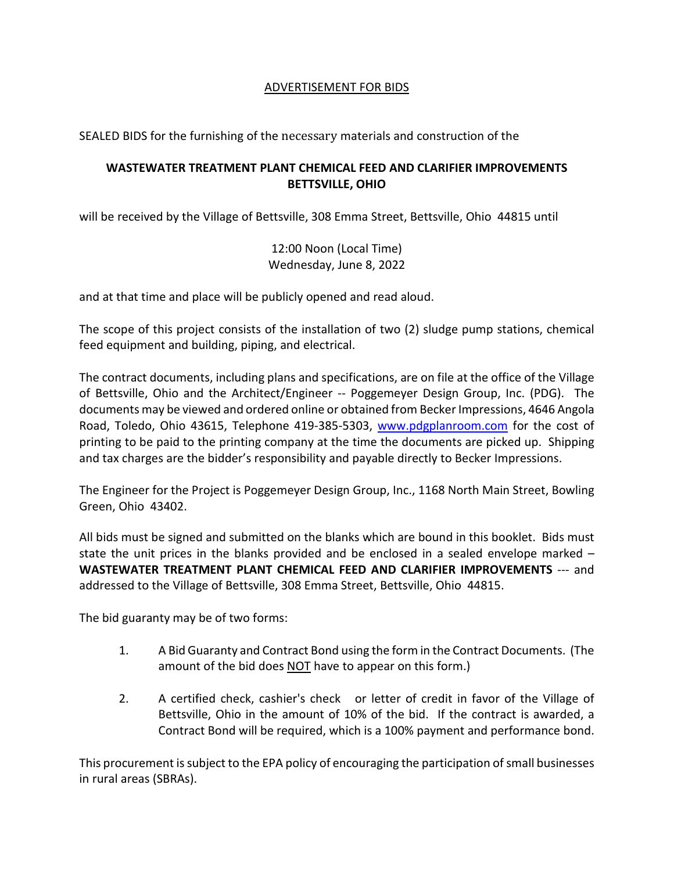## ADVERTISEMENT FOR BIDS

SEALED BIDS for the furnishing of the necessary materials and construction of the

## **WASTEWATER TREATMENT PLANT CHEMICAL FEED AND CLARIFIER IMPROVEMENTS BETTSVILLE, OHIO**

will be received by the Village of Bettsville, 308 Emma Street, Bettsville, Ohio 44815 until

12:00 Noon (Local Time) Wednesday, June 8, 2022

and at that time and place will be publicly opened and read aloud.

The scope of this project consists of the installation of two (2) sludge pump stations, chemical feed equipment and building, piping, and electrical.

The contract documents, including plans and specifications, are on file at the office of the Village of Bettsville, Ohio and the Architect/Engineer -- Poggemeyer Design Group, Inc. (PDG). The documents may be viewed and ordered online or obtained from Becker Impressions, 4646 Angola Road, Toledo, Ohio 43615, Telephone 419-385-5303, [www.pdgplanroom.com](http://www.pdgplanroom.com/) for the cost of printing to be paid to the printing company at the time the documents are picked up. Shipping and tax charges are the bidder's responsibility and payable directly to Becker Impressions.

The Engineer for the Project is Poggemeyer Design Group, Inc., 1168 North Main Street, Bowling Green, Ohio 43402.

All bids must be signed and submitted on the blanks which are bound in this booklet. Bids must state the unit prices in the blanks provided and be enclosed in a sealed envelope marked – **WASTEWATER TREATMENT PLANT CHEMICAL FEED AND CLARIFIER IMPROVEMENTS** --- and addressed to the Village of Bettsville, 308 Emma Street, Bettsville, Ohio 44815.

The bid guaranty may be of two forms:

- 1. A Bid Guaranty and Contract Bond using the form in the Contract Documents. (The amount of the bid does NOT have to appear on this form.)
- 2. A certified check, cashier's check or letter of credit in favor of the Village of Bettsville, Ohio in the amount of 10% of the bid. If the contract is awarded, a Contract Bond will be required, which is a 100% payment and performance bond.

This procurement is subject to the EPA policy of encouraging the participation of small businesses in rural areas (SBRAs).